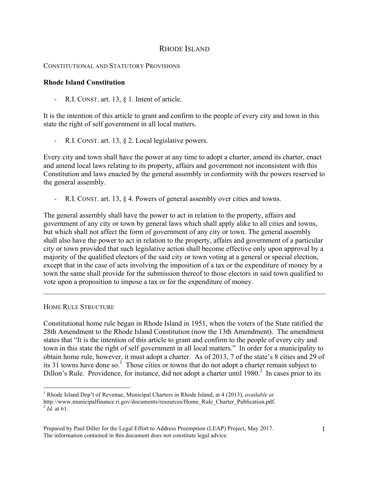# RHODE ISLAND

### CONSTITUTIONAL AND STATUTORY PROVISIONS

## **Rhode Island Constitution**

R.I. CONST. art. 13,  $\S$  1. Intent of article.

It is the intention of this article to grant and confirm to the people of every city and town in this state the right of self government in all local matters.

- R.I. CONST. art. 13, § 2. Local legislative powers.

Every city and town shall have the power at any time to adopt a charter, amend its charter, enact and amend local laws relating to its property, affairs and government not inconsistent with this Constitution and laws enacted by the general assembly in conformity with the powers reserved to the general assembly.

R.I. CONST. art. 13, § 4. Powers of general assembly over cities and towns.

The general assembly shall have the power to act in relation to the property, affairs and government of any city or town by general laws which shall apply alike to all cities and towns, but which shall not affect the form of government of any city or town. The general assembly shall also have the power to act in relation to the property, affairs and government of a particular city or town provided that such legislative action shall become effective only upon approval by a majority of the qualified electors of the said city or town voting at a general or special election, except that in the case of acts involving the imposition of a tax or the expenditure of money by a town the same shall provide for the submission thereof to those electors in said town qualified to vote upon a proposition to impose a tax or for the expenditure of money.

 $\mathcal{L}_\mathcal{L} = \{ \mathcal{L}_\mathcal{L} = \{ \mathcal{L}_\mathcal{L} = \{ \mathcal{L}_\mathcal{L} = \{ \mathcal{L}_\mathcal{L} = \{ \mathcal{L}_\mathcal{L} = \{ \mathcal{L}_\mathcal{L} = \{ \mathcal{L}_\mathcal{L} = \{ \mathcal{L}_\mathcal{L} = \{ \mathcal{L}_\mathcal{L} = \{ \mathcal{L}_\mathcal{L} = \{ \mathcal{L}_\mathcal{L} = \{ \mathcal{L}_\mathcal{L} = \{ \mathcal{L}_\mathcal{L} = \{ \mathcal{L}_\mathcal{$ 

#### HOME RULE STRUCTURE

Constitutional home rule began in Rhode Island in 1951, when the voters of the State ratified the 28th Amendment to the Rhode Island Constitution (now the 13th Amendment). The amendment states that "It is the intention of this article to grant and confirm to the people of every city and town in this state the right of self government in all local matters." In order for a municipality to obtain home rule, however, it must adopt a charter. As of 2013, 7 of the state's 8 cities and 29 of its 31 towns have done so.<sup>1</sup> Those cities or towns that do not adopt a charter remain subject to Dillon's Rule. Providence, for instance, did not adopt a charter until 1980.<sup>2</sup> In cases prior to its

 $\frac{1}{1}$  Rhode Island Dep't of Revenue, Municipal Charters in Rhode Island, at 4 (2013), *available at* http://www.municipalfinance.ri.gov/documents/resources/Home\_Rule\_Charter\_Publication.pdf.  $^{2}$  *Id.* at 61.

Prepared by Paul Diller for the Legal Effort to Address Preemption (LEAP) Project, May 2017. The information contained in this document does not constitute legal advice.